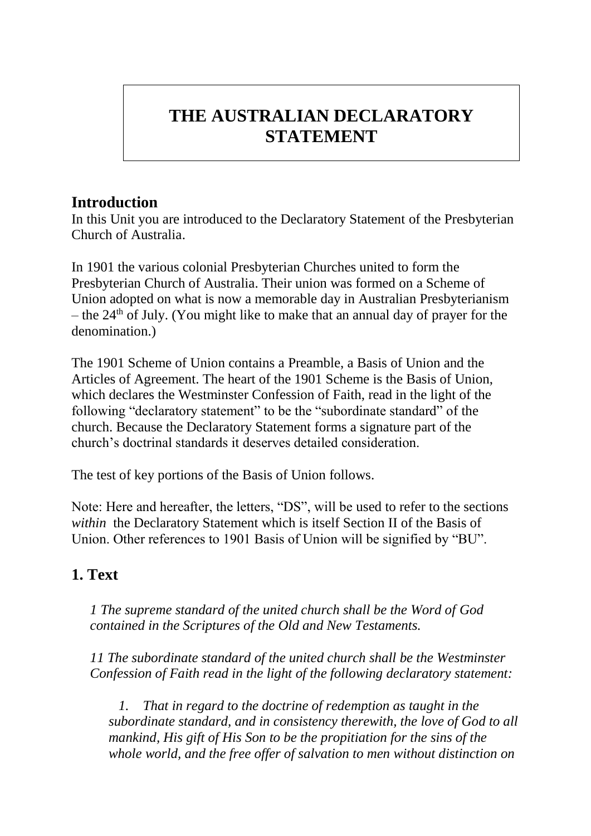## **THE AUSTRALIAN DECLARATORY STATEMENT**

## **Introduction**

In this Unit you are introduced to the Declaratory Statement of the Presbyterian Church of Australia.

In 1901 the various colonial Presbyterian Churches united to form the Presbyterian Church of Australia. Their union was formed on a Scheme of Union adopted on what is now a memorable day in Australian Presbyterianism – the  $24<sup>th</sup>$  of July. (You might like to make that an annual day of prayer for the denomination.)

The 1901 Scheme of Union contains a Preamble, a Basis of Union and the Articles of Agreement. The heart of the 1901 Scheme is the Basis of Union, which declares the Westminster Confession of Faith, read in the light of the following "declaratory statement" to be the "subordinate standard" of the church. Because the Declaratory Statement forms a signature part of the church's doctrinal standards it deserves detailed consideration.

The test of key portions of the Basis of Union follows.

Note: Here and hereafter, the letters, "DS", will be used to refer to the sections *within* the Declaratory Statement which is itself Section II of the Basis of Union. Other references to 1901 Basis of Union will be signified by "BU".

## **1. Text**

*1 The supreme standard of the united church shall be the Word of God contained in the Scriptures of the Old and New Testaments.*

*11 The subordinate standard of the united church shall be the Westminster Confession of Faith read in the light of the following declaratory statement:*

*1. That in regard to the doctrine of redemption as taught in the subordinate standard, and in consistency therewith, the love of God to all mankind, His gift of His Son to be the propitiation for the sins of the whole world, and the free offer of salvation to men without distinction on*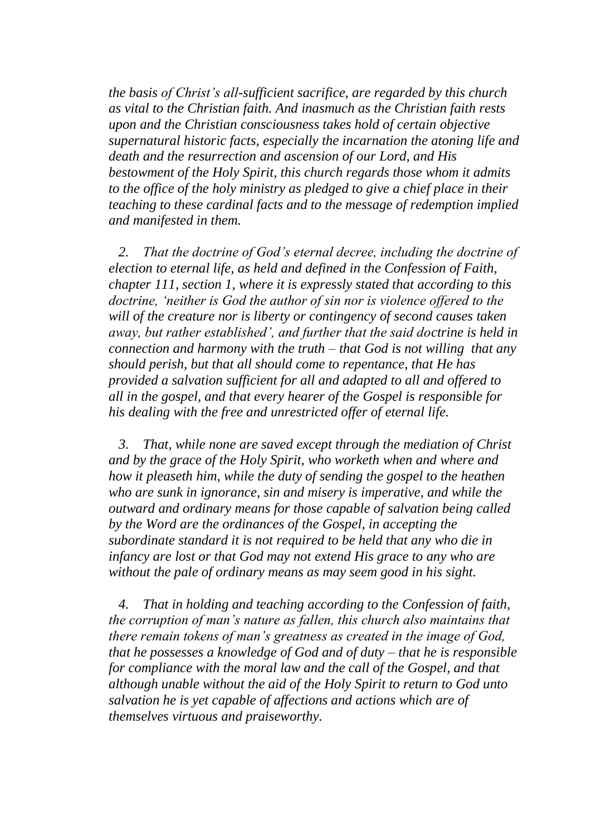*the basis of Christ's all-sufficient sacrifice, are regarded by this church as vital to the Christian faith. And inasmuch as the Christian faith rests upon and the Christian consciousness takes hold of certain objective supernatural historic facts, especially the incarnation the atoning life and death and the resurrection and ascension of our Lord, and His bestowment of the Holy Spirit, this church regards those whom it admits to the office of the holy ministry as pledged to give a chief place in their teaching to these cardinal facts and to the message of redemption implied and manifested in them.*

*2. That the doctrine of God's eternal decree, including the doctrine of election to eternal life, as held and defined in the Confession of Faith, chapter 111, section 1, where it is expressly stated that according to this doctrine, 'neither is God the author of sin nor is violence offered to the will of the creature nor is liberty or contingency of second causes taken away, but rather established', and further that the said doctrine is held in connection and harmony with the truth – that God is not willing that any should perish, but that all should come to repentance, that He has provided a salvation sufficient for all and adapted to all and offered to all in the gospel, and that every hearer of the Gospel is responsible for his dealing with the free and unrestricted offer of eternal life.*

*3. That, while none are saved except through the mediation of Christ and by the grace of the Holy Spirit, who worketh when and where and how it pleaseth him, while the duty of sending the gospel to the heathen who are sunk in ignorance, sin and misery is imperative, and while the outward and ordinary means for those capable of salvation being called by the Word are the ordinances of the Gospel, in accepting the subordinate standard it is not required to be held that any who die in infancy are lost or that God may not extend His grace to any who are without the pale of ordinary means as may seem good in his sight.* 

*4. That in holding and teaching according to the Confession of faith, the corruption of man's nature as fallen, this church also maintains that there remain tokens of man's greatness as created in the image of God, that he possesses a knowledge of God and of duty – that he is responsible for compliance with the moral law and the call of the Gospel, and that although unable without the aid of the Holy Spirit to return to God unto salvation he is yet capable of affections and actions which are of themselves virtuous and praiseworthy.*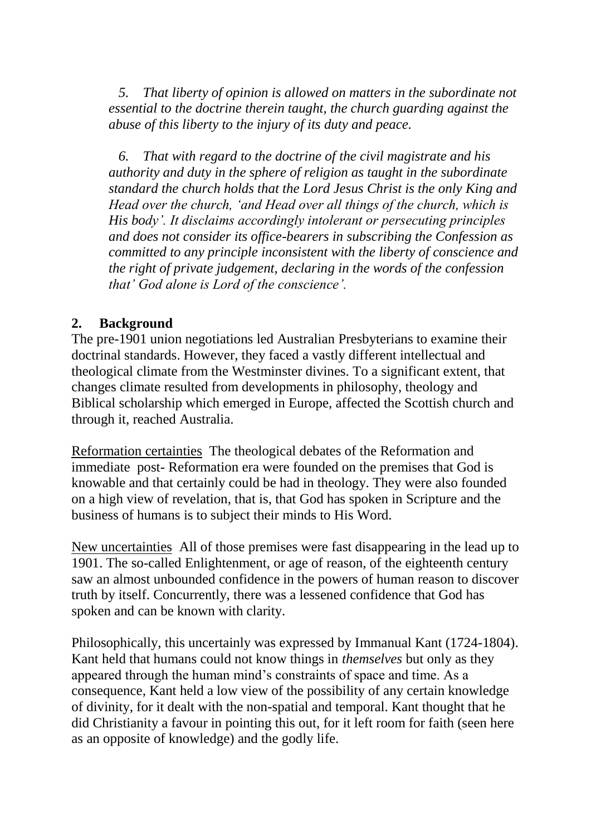*5. That liberty of opinion is allowed on matters in the subordinate not essential to the doctrine therein taught, the church guarding against the abuse of this liberty to the injury of its duty and peace.*

*6. That with regard to the doctrine of the civil magistrate and his authority and duty in the sphere of religion as taught in the subordinate standard the church holds that the Lord Jesus Christ is the only King and Head over the church, 'and Head over all things of the church, which is His body'. It disclaims accordingly intolerant or persecuting principles and does not consider its office-bearers in subscribing the Confession as committed to any principle inconsistent with the liberty of conscience and the right of private judgement, declaring in the words of the confession that' God alone is Lord of the conscience'.* 

## **2. Background**

The pre-1901 union negotiations led Australian Presbyterians to examine their doctrinal standards. However, they faced a vastly different intellectual and theological climate from the Westminster divines. To a significant extent, that changes climate resulted from developments in philosophy, theology and Biblical scholarship which emerged in Europe, affected the Scottish church and through it, reached Australia.

Reformation certainties The theological debates of the Reformation and immediate post- Reformation era were founded on the premises that God is knowable and that certainly could be had in theology. They were also founded on a high view of revelation, that is, that God has spoken in Scripture and the business of humans is to subject their minds to His Word.

New uncertainties All of those premises were fast disappearing in the lead up to 1901. The so-called Enlightenment, or age of reason, of the eighteenth century saw an almost unbounded confidence in the powers of human reason to discover truth by itself. Concurrently, there was a lessened confidence that God has spoken and can be known with clarity.

Philosophically, this uncertainly was expressed by Immanual Kant (1724-1804). Kant held that humans could not know things in *themselves* but only as they appeared through the human mind's constraints of space and time. As a consequence, Kant held a low view of the possibility of any certain knowledge of divinity, for it dealt with the non-spatial and temporal. Kant thought that he did Christianity a favour in pointing this out, for it left room for faith (seen here as an opposite of knowledge) and the godly life.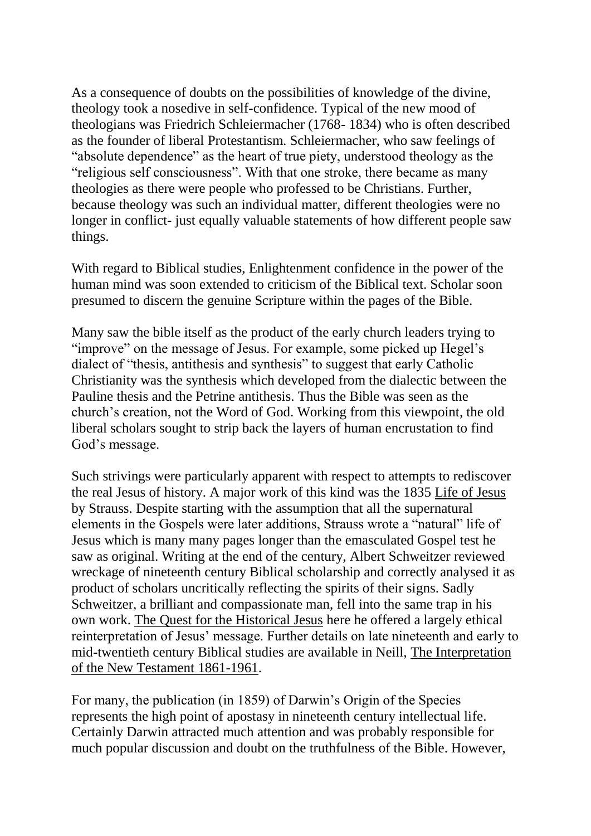As a consequence of doubts on the possibilities of knowledge of the divine, theology took a nosedive in self-confidence. Typical of the new mood of theologians was Friedrich Schleiermacher (1768- 1834) who is often described as the founder of liberal Protestantism. Schleiermacher, who saw feelings of "absolute dependence" as the heart of true piety, understood theology as the "religious self consciousness". With that one stroke, there became as many theologies as there were people who professed to be Christians. Further, because theology was such an individual matter, different theologies were no longer in conflict- just equally valuable statements of how different people saw things.

With regard to Biblical studies, Enlightenment confidence in the power of the human mind was soon extended to criticism of the Biblical text. Scholar soon presumed to discern the genuine Scripture within the pages of the Bible.

Many saw the bible itself as the product of the early church leaders trying to "improve" on the message of Jesus. For example, some picked up Hegel's dialect of "thesis, antithesis and synthesis" to suggest that early Catholic Christianity was the synthesis which developed from the dialectic between the Pauline thesis and the Petrine antithesis. Thus the Bible was seen as the church's creation, not the Word of God. Working from this viewpoint, the old liberal scholars sought to strip back the layers of human encrustation to find God's message.

Such strivings were particularly apparent with respect to attempts to rediscover the real Jesus of history. A major work of this kind was the 1835 Life of Jesus by Strauss. Despite starting with the assumption that all the supernatural elements in the Gospels were later additions, Strauss wrote a "natural" life of Jesus which is many many pages longer than the emasculated Gospel test he saw as original. Writing at the end of the century, Albert Schweitzer reviewed wreckage of nineteenth century Biblical scholarship and correctly analysed it as product of scholars uncritically reflecting the spirits of their signs. Sadly Schweitzer, a brilliant and compassionate man, fell into the same trap in his own work. The Quest for the Historical Jesus here he offered a largely ethical reinterpretation of Jesus' message. Further details on late nineteenth and early to mid-twentieth century Biblical studies are available in Neill, The Interpretation of the New Testament 1861-1961.

For many, the publication (in 1859) of Darwin's Origin of the Species represents the high point of apostasy in nineteenth century intellectual life. Certainly Darwin attracted much attention and was probably responsible for much popular discussion and doubt on the truthfulness of the Bible. However,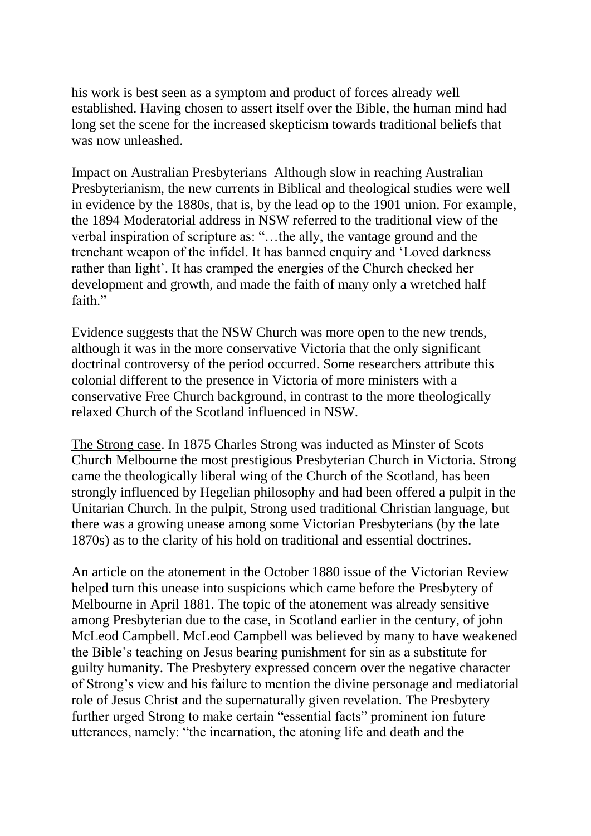his work is best seen as a symptom and product of forces already well established. Having chosen to assert itself over the Bible, the human mind had long set the scene for the increased skepticism towards traditional beliefs that was now unleashed.

Impact on Australian Presbyterians Although slow in reaching Australian Presbyterianism, the new currents in Biblical and theological studies were well in evidence by the 1880s, that is, by the lead op to the 1901 union. For example, the 1894 Moderatorial address in NSW referred to the traditional view of the verbal inspiration of scripture as: "…the ally, the vantage ground and the trenchant weapon of the infidel. It has banned enquiry and 'Loved darkness rather than light'. It has cramped the energies of the Church checked her development and growth, and made the faith of many only a wretched half faith."

Evidence suggests that the NSW Church was more open to the new trends, although it was in the more conservative Victoria that the only significant doctrinal controversy of the period occurred. Some researchers attribute this colonial different to the presence in Victoria of more ministers with a conservative Free Church background, in contrast to the more theologically relaxed Church of the Scotland influenced in NSW.

The Strong case. In 1875 Charles Strong was inducted as Minster of Scots Church Melbourne the most prestigious Presbyterian Church in Victoria. Strong came the theologically liberal wing of the Church of the Scotland, has been strongly influenced by Hegelian philosophy and had been offered a pulpit in the Unitarian Church. In the pulpit, Strong used traditional Christian language, but there was a growing unease among some Victorian Presbyterians (by the late 1870s) as to the clarity of his hold on traditional and essential doctrines.

An article on the atonement in the October 1880 issue of the Victorian Review helped turn this unease into suspicions which came before the Presbytery of Melbourne in April 1881. The topic of the atonement was already sensitive among Presbyterian due to the case, in Scotland earlier in the century, of john McLeod Campbell. McLeod Campbell was believed by many to have weakened the Bible's teaching on Jesus bearing punishment for sin as a substitute for guilty humanity. The Presbytery expressed concern over the negative character of Strong's view and his failure to mention the divine personage and mediatorial role of Jesus Christ and the supernaturally given revelation. The Presbytery further urged Strong to make certain "essential facts" prominent ion future utterances, namely: "the incarnation, the atoning life and death and the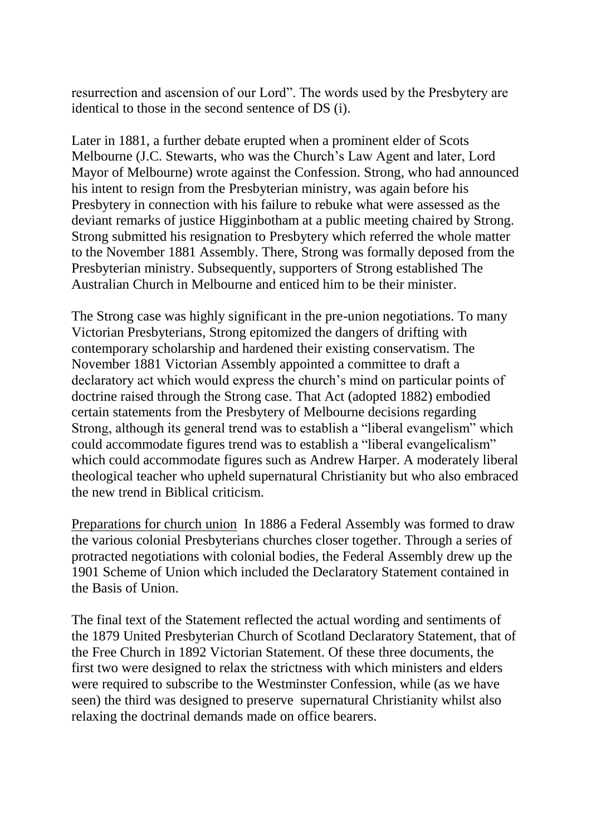resurrection and ascension of our Lord". The words used by the Presbytery are identical to those in the second sentence of DS (i).

Later in 1881, a further debate erupted when a prominent elder of Scots Melbourne (J.C. Stewarts, who was the Church's Law Agent and later, Lord Mayor of Melbourne) wrote against the Confession. Strong, who had announced his intent to resign from the Presbyterian ministry, was again before his Presbytery in connection with his failure to rebuke what were assessed as the deviant remarks of justice Higginbotham at a public meeting chaired by Strong. Strong submitted his resignation to Presbytery which referred the whole matter to the November 1881 Assembly. There, Strong was formally deposed from the Presbyterian ministry. Subsequently, supporters of Strong established The Australian Church in Melbourne and enticed him to be their minister.

The Strong case was highly significant in the pre-union negotiations. To many Victorian Presbyterians, Strong epitomized the dangers of drifting with contemporary scholarship and hardened their existing conservatism. The November 1881 Victorian Assembly appointed a committee to draft a declaratory act which would express the church's mind on particular points of doctrine raised through the Strong case. That Act (adopted 1882) embodied certain statements from the Presbytery of Melbourne decisions regarding Strong, although its general trend was to establish a "liberal evangelism" which could accommodate figures trend was to establish a "liberal evangelicalism" which could accommodate figures such as Andrew Harper. A moderately liberal theological teacher who upheld supernatural Christianity but who also embraced the new trend in Biblical criticism.

Preparations for church union In 1886 a Federal Assembly was formed to draw the various colonial Presbyterians churches closer together. Through a series of protracted negotiations with colonial bodies, the Federal Assembly drew up the 1901 Scheme of Union which included the Declaratory Statement contained in the Basis of Union.

The final text of the Statement reflected the actual wording and sentiments of the 1879 United Presbyterian Church of Scotland Declaratory Statement, that of the Free Church in 1892 Victorian Statement. Of these three documents, the first two were designed to relax the strictness with which ministers and elders were required to subscribe to the Westminster Confession, while (as we have seen) the third was designed to preserve supernatural Christianity whilst also relaxing the doctrinal demands made on office bearers.